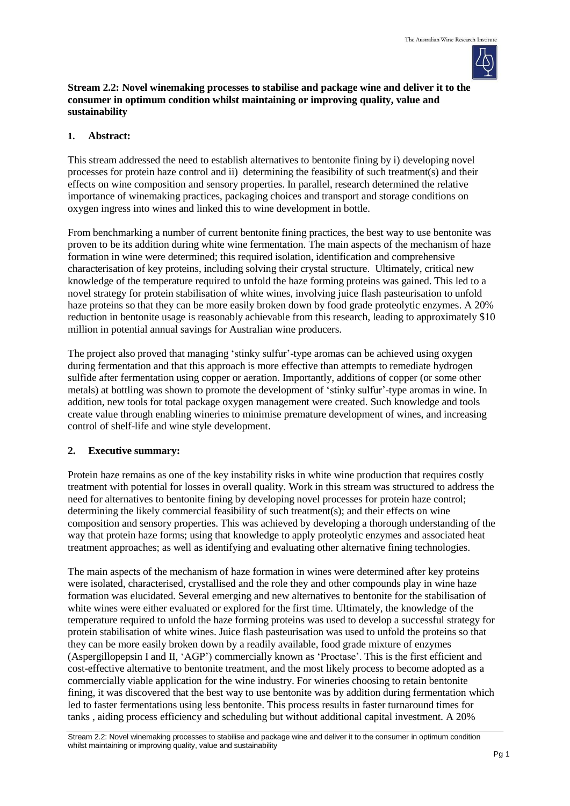

### **Stream 2.2: Novel winemaking processes to stabilise and package wine and deliver it to the consumer in optimum condition whilst maintaining or improving quality, value and sustainability**

# **1. Abstract:**

This stream addressed the need to establish alternatives to bentonite fining by i) developing novel processes for protein haze control and ii) determining the feasibility of such treatment(s) and their effects on wine composition and sensory properties. In parallel, research determined the relative importance of winemaking practices, packaging choices and transport and storage conditions on oxygen ingress into wines and linked this to wine development in bottle.

From benchmarking a number of current bentonite fining practices, the best way to use bentonite was proven to be its addition during white wine fermentation. The main aspects of the mechanism of haze formation in wine were determined; this required isolation, identification and comprehensive characterisation of key proteins, including solving their crystal structure. Ultimately, critical new knowledge of the temperature required to unfold the haze forming proteins was gained. This led to a novel strategy for protein stabilisation of white wines, involving juice flash pasteurisation to unfold haze proteins so that they can be more easily broken down by food grade proteolytic enzymes. A 20% reduction in bentonite usage is reasonably achievable from this research, leading to approximately \$10 million in potential annual savings for Australian wine producers.

The project also proved that managing 'stinky sulfur'-type aromas can be achieved using oxygen during fermentation and that this approach is more effective than attempts to remediate hydrogen sulfide after fermentation using copper or aeration. Importantly, additions of copper (or some other metals) at bottling was shown to promote the development of 'stinky sulfur'-type aromas in wine. In addition, new tools for total package oxygen management were created. Such knowledge and tools create value through enabling wineries to minimise premature development of wines, and increasing control of shelf-life and wine style development.

# **2. Executive summary:**

Protein haze remains as one of the key instability risks in white wine production that requires costly treatment with potential for losses in overall quality. Work in this stream was structured to address the need for alternatives to bentonite fining by developing novel processes for protein haze control; determining the likely commercial feasibility of such treatment(s); and their effects on wine composition and sensory properties. This was achieved by developing a thorough understanding of the way that protein haze forms; using that knowledge to apply proteolytic enzymes and associated heat treatment approaches; as well as identifying and evaluating other alternative fining technologies.

The main aspects of the mechanism of haze formation in wines were determined after key proteins were isolated, characterised, crystallised and the role they and other compounds play in wine haze formation was elucidated. Several emerging and new alternatives to bentonite for the stabilisation of white wines were either evaluated or explored for the first time. Ultimately, the knowledge of the temperature required to unfold the haze forming proteins was used to develop a successful strategy for protein stabilisation of white wines. Juice flash pasteurisation was used to unfold the proteins so that they can be more easily broken down by a readily available, food grade mixture of enzymes (Aspergillopepsin I and II, 'AGP') commercially known as 'Proctase'. This is the first efficient and cost-effective alternative to bentonite treatment, and the most likely process to become adopted as a commercially viable application for the wine industry. For wineries choosing to retain bentonite fining, it was discovered that the best way to use bentonite was by addition during fermentation which led to faster fermentations using less bentonite. This process results in faster turnaround times for tanks , aiding process efficiency and scheduling but without additional capital investment. A 20%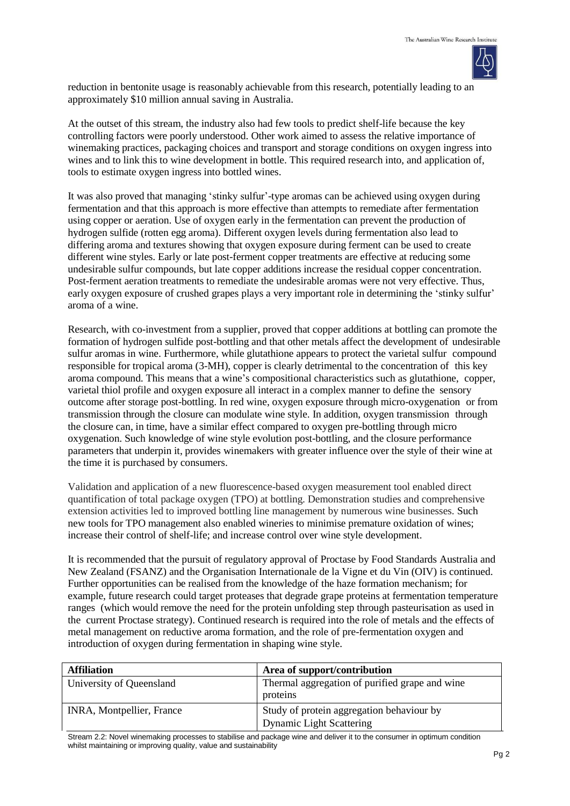

reduction in bentonite usage is reasonably achievable from this research, potentially leading to an approximately \$10 million annual saving in Australia.

At the outset of this stream, the industry also had few tools to predict shelf-life because the key controlling factors were poorly understood. Other work aimed to assess the relative importance of winemaking practices, packaging choices and transport and storage conditions on oxygen ingress into wines and to link this to wine development in bottle. This required research into, and application of, tools to estimate oxygen ingress into bottled wines.

It was also proved that managing 'stinky sulfur'-type aromas can be achieved using oxygen during fermentation and that this approach is more effective than attempts to remediate after fermentation using copper or aeration. Use of oxygen early in the fermentation can prevent the production of hydrogen sulfide (rotten egg aroma). Different oxygen levels during fermentation also lead to differing aroma and textures showing that oxygen exposure during ferment can be used to create different wine styles. Early or late post-ferment copper treatments are effective at reducing some undesirable sulfur compounds, but late copper additions increase the residual copper concentration. Post-ferment aeration treatments to remediate the undesirable aromas were not very effective. Thus, early oxygen exposure of crushed grapes plays a very important role in determining the 'stinky sulfur' aroma of a wine.

Research, with co-investment from a supplier, proved that copper additions at bottling can promote the formation of hydrogen sulfide post-bottling and that other metals affect the development of undesirable sulfur aromas in wine. Furthermore, while glutathione appears to protect the varietal sulfur compound responsible for tropical aroma (3-MH), copper is clearly detrimental to the concentration of this key aroma compound. This means that a wine's compositional characteristics such as glutathione, copper, varietal thiol profile and oxygen exposure all interact in a complex manner to define the sensory outcome after storage post-bottling. In red wine, oxygen exposure through micro-oxygenation or from transmission through the closure can modulate wine style. In addition, oxygen transmission through the closure can, in time, have a similar effect compared to oxygen pre-bottling through micro oxygenation. Such knowledge of wine style evolution post-bottling, and the closure performance parameters that underpin it, provides winemakers with greater influence over the style of their wine at the time it is purchased by consumers.

Validation and application of a new fluorescence-based oxygen measurement tool enabled direct quantification of total package oxygen (TPO) at bottling. Demonstration studies and comprehensive extension activities led to improved bottling line management by numerous wine businesses. Such new tools for TPO management also enabled wineries to minimise premature oxidation of wines; increase their control of shelf-life; and increase control over wine style development.

It is recommended that the pursuit of regulatory approval of Proctase by Food Standards Australia and New Zealand (FSANZ) and the Organisation Internationale de la Vigne et du Vin (OIV) is continued. Further opportunities can be realised from the knowledge of the haze formation mechanism; for example, future research could target proteases that degrade grape proteins at fermentation temperature ranges (which would remove the need for the protein unfolding step through pasteurisation as used in the current Proctase strategy). Continued research is required into the role of metals and the effects of metal management on reductive aroma formation, and the role of pre-fermentation oxygen and introduction of oxygen during fermentation in shaping wine style.

| <b>Affiliation</b>               | Area of support/contribution                                                 |
|----------------------------------|------------------------------------------------------------------------------|
| University of Queensland         | Thermal aggregation of purified grape and wine<br>proteins                   |
| <b>INRA, Montpellier, France</b> | Study of protein aggregation behaviour by<br><b>Dynamic Light Scattering</b> |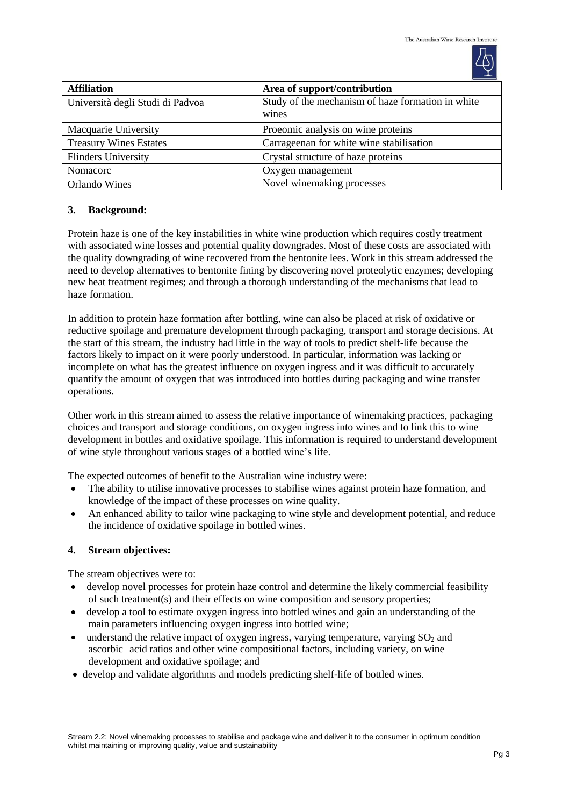

| <b>Affiliation</b>               | Area of support/contribution                               |
|----------------------------------|------------------------------------------------------------|
| Università degli Studi di Padvoa | Study of the mechanism of haze formation in white<br>wines |
| Macquarie University             | Proeomic analysis on wine proteins                         |
| <b>Treasury Wines Estates</b>    | Carrageenan for white wine stabilisation                   |
| <b>Flinders University</b>       | Crystal structure of haze proteins                         |
| Nomacorc                         | Oxygen management                                          |
| <b>Orlando Wines</b>             | Novel winemaking processes                                 |

# **3. Background:**

Protein haze is one of the key instabilities in white wine production which requires costly treatment with associated wine losses and potential quality downgrades. Most of these costs are associated with the quality downgrading of wine recovered from the bentonite lees. Work in this stream addressed the need to develop alternatives to bentonite fining by discovering novel proteolytic enzymes; developing new heat treatment regimes; and through a thorough understanding of the mechanisms that lead to haze formation.

In addition to protein haze formation after bottling, wine can also be placed at risk of oxidative or reductive spoilage and premature development through packaging, transport and storage decisions. At the start of this stream, the industry had little in the way of tools to predict shelf-life because the factors likely to impact on it were poorly understood. In particular, information was lacking or incomplete on what has the greatest influence on oxygen ingress and it was difficult to accurately quantify the amount of oxygen that was introduced into bottles during packaging and wine transfer operations.

Other work in this stream aimed to assess the relative importance of winemaking practices, packaging choices and transport and storage conditions, on oxygen ingress into wines and to link this to wine development in bottles and oxidative spoilage. This information is required to understand development of wine style throughout various stages of a bottled wine's life.

The expected outcomes of benefit to the Australian wine industry were:

- The ability to utilise innovative processes to stabilise wines against protein haze formation, and knowledge of the impact of these processes on wine quality.
- An enhanced ability to tailor wine packaging to wine style and development potential, and reduce the incidence of oxidative spoilage in bottled wines.

# **4. Stream objectives:**

The stream objectives were to:

- develop novel processes for protein haze control and determine the likely commercial feasibility of such treatment(s) and their effects on wine composition and sensory properties;
- develop a tool to estimate oxygen ingress into bottled wines and gain an understanding of the main parameters influencing oxygen ingress into bottled wine;
- $\bullet$  understand the relative impact of oxygen ingress, varying temperature, varying  $SO_2$  and ascorbic acid ratios and other wine compositional factors, including variety, on wine development and oxidative spoilage; and
- develop and validate algorithms and models predicting shelf-life of bottled wines.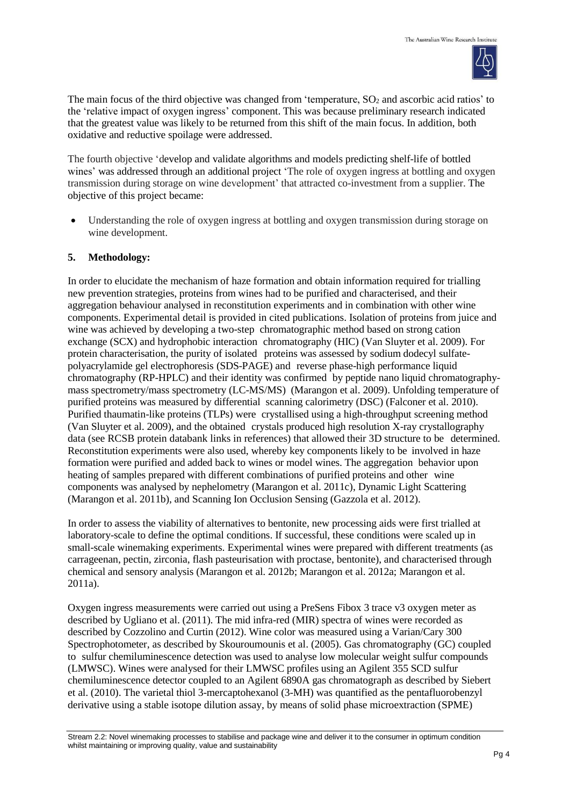

The main focus of the third objective was changed from 'temperature,  $SO<sub>2</sub>$  and ascorbic acid ratios' to the 'relative impact of oxygen ingress' component. This was because preliminary research indicated that the greatest value was likely to be returned from this shift of the main focus. In addition, both oxidative and reductive spoilage were addressed.

The fourth objective 'develop and validate algorithms and models predicting shelf-life of bottled wines' was addressed through an additional project 'The role of oxygen ingress at bottling and oxygen transmission during storage on wine development' that attracted co-investment from a supplier. The objective of this project became:

 Understanding the role of oxygen ingress at bottling and oxygen transmission during storage on wine development.

# **5. Methodology:**

In order to elucidate the mechanism of haze formation and obtain information required for trialling new prevention strategies, proteins from wines had to be purified and characterised, and their aggregation behaviour analysed in reconstitution experiments and in combination with other wine components. Experimental detail is provided in cited publications. Isolation of proteins from juice and wine was achieved by developing a two-step chromatographic method based on strong cation exchange (SCX) and hydrophobic interaction chromatography (HIC) (Van Sluyter et al. 2009). For protein characterisation, the purity of isolated proteins was assessed by sodium [dodecyl](http://en.wikipedia.org/wiki/Sodium_dodecyl_sulfate) sulfatepolyacrylamide gel electrophoresis (SDS-PAGE) and reverse phase-high performance liquid chromatography (RP-HPLC) and their identity was confirmed by peptide nano liquid chromatographymass spectrometry/mass spectrometry (LC-MS/MS) (Marangon et al. 2009). Unfolding temperature of purified proteins was measured by differential scanning calorimetry (DSC) (Falconer et al. 2010). Purified thaumatin-like proteins (TLPs) were crystallised using a high-throughput screening method (Van Sluyter et al. 2009), and the obtained crystals produced high resolution X-ray crystallography data (see RCSB protein databank links in references) that allowed their 3D structure to be determined. Reconstitution experiments were also used, whereby key components likely to be involved in haze formation were purified and added back to wines or model wines. The aggregation behavior upon heating of samples prepared with different combinations of purified proteins and other wine components was analysed by nephelometry (Marangon et al. 2011c), Dynamic Light Scattering (Marangon et al. 2011b), and Scanning Ion Occlusion Sensing (Gazzola et al. 2012).

In order to assess the viability of alternatives to bentonite, new processing aids were first trialled at laboratory-scale to define the optimal conditions. If successful, these conditions were scaled up in small-scale winemaking experiments. Experimental wines were prepared with different treatments (as carrageenan, pectin, zirconia, flash pasteurisation with proctase, bentonite), and characterised through chemical and sensory analysis (Marangon et al. 2012b; Marangon et al. 2012a; Marangon et al. 2011a).

Oxygen ingress measurements were carried out using a PreSens Fibox 3 trace v3 oxygen meter as described by Ugliano et al. (2011). The mid infra-red (MIR) spectra of wines were recorded as described by Cozzolino and Curtin (2012). Wine color was measured using a Varian/Cary 300 Spectrophotometer, as described by Skouroumounis et al. (2005). Gas chromatography (GC) coupled to sulfur chemiluminescence detection was used to analyse low molecular weight sulfur compounds (LMWSC). Wines were analysed for their LMWSC profiles using an Agilent 355 SCD sulfur chemiluminescence detector coupled to an Agilent 6890A gas chromatograph as described by Siebert et al. (2010). The varietal thiol 3-mercaptohexanol (3-MH) was quantified as the pentafluorobenzyl derivative using a stable isotope dilution assay, by means of solid phase microextraction (SPME)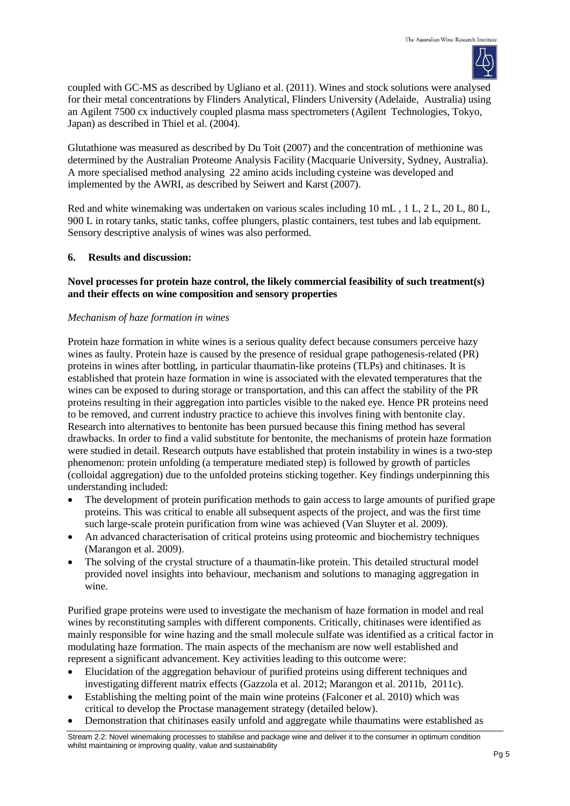

coupled with GC-MS as described by Ugliano et al. (2011). Wines and stock solutions were analysed for their metal concentrations by Flinders Analytical, Flinders University (Adelaide, Australia) using an Agilent 7500 cx inductively coupled plasma mass spectrometers (Agilent Technologies, Tokyo, Japan) as described in Thiel et al. (2004).

Glutathione was measured as described by Du Toit (2007) and the concentration of methionine was determined by the Australian Proteome Analysis Facility (Macquarie University, Sydney, Australia). A more specialised method analysing 22 amino acids including cysteine was developed and implemented by the AWRI, as described by Seiwert and Karst (2007).

Red and white winemaking was undertaken on various scales including 10 mL , 1 L, 2 L, 20 L, 80 L, 900 L in rotary tanks, static tanks, coffee plungers, plastic containers, test tubes and lab equipment. Sensory descriptive analysis of wines was also performed.

# **6. Results and discussion:**

# **Novel processes for protein haze control, the likely commercial feasibility of such treatment(s) and their effects on wine composition and sensory properties**

#### *Mechanism of haze formation in wines*

Protein haze formation in white wines is a serious quality defect because consumers perceive hazy wines as faulty. Protein haze is caused by the presence of residual grape pathogenesis-related (PR) proteins in wines after bottling, in particular thaumatin-like proteins (TLPs) and chitinases. It is established that protein haze formation in wine is associated with the elevated temperatures that the wines can be exposed to during storage or transportation, and this can affect the stability of the PR proteins resulting in their aggregation into particles visible to the naked eye. Hence PR proteins need to be removed, and current industry practice to achieve this involves fining with bentonite clay. Research into alternatives to bentonite has been pursued because this fining method has several drawbacks. In order to find a valid substitute for bentonite, the mechanisms of protein haze formation were studied in detail. Research outputs have established that protein instability in wines is a two-step phenomenon: protein unfolding (a temperature mediated step) is followed by growth of particles (colloidal aggregation) due to the unfolded proteins sticking together. Key findings underpinning this understanding included:

- The development of protein purification methods to gain access to large amounts of purified grape proteins. This was critical to enable all subsequent aspects of the project, and was the first time such large-scale protein purification from wine was achieved (Van Sluyter et al. 2009).
- An advanced characterisation of critical proteins using proteomic and biochemistry techniques (Marangon et al. 2009).
- The solving of the crystal structure of a thaumatin-like protein. This detailed structural model provided novel insights into behaviour, mechanism and solutions to managing aggregation in wine.

Purified grape proteins were used to investigate the mechanism of haze formation in model and real wines by reconstituting samples with different components. Critically, chitinases were identified as mainly responsible for wine hazing and the small molecule sulfate was identified as a critical factor in modulating haze formation. The main aspects of the mechanism are now well established and represent a significant advancement. Key activities leading to this outcome were:

- Elucidation of the aggregation behaviour of purified proteins using different techniques and investigating different matrix effects (Gazzola et al. 2012; Marangon et al. 2011b, 2011c).
- Establishing the melting point of the main wine proteins (Falconer et al. 2010) which was critical to develop the Proctase management strategy (detailed below).
- Demonstration that chitinases easily unfold and aggregate while thaumatins were established as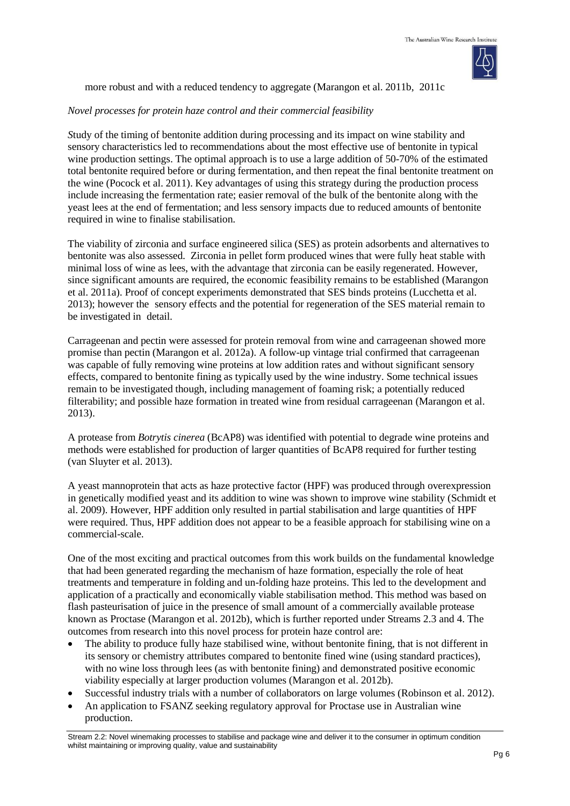more robust and with a reduced tendency to aggregate (Marangon et al. 2011b, 2011c

# *Novel processes for protein haze control and their commercial feasibility*

*S*tudy of the timing of bentonite addition during processing and its impact on wine stability and sensory characteristics led to recommendations about the most effective use of bentonite in typical wine production settings. The optimal approach is to use a large addition of 50-70% of the estimated total bentonite required before or during fermentation, and then repeat the final bentonite treatment on the wine (Pocock et al. 2011). Key advantages of using this strategy during the production process include increasing the fermentation rate; easier removal of the bulk of the bentonite along with the yeast lees at the end of fermentation; and less sensory impacts due to reduced amounts of bentonite required in wine to finalise stabilisation.

The viability of zirconia and surface engineered silica (SES) as protein adsorbents and alternatives to bentonite was also assessed. Zirconia in pellet form produced wines that were fully heat stable with minimal loss of wine as lees, with the advantage that zirconia can be easily regenerated. However, since significant amounts are required, the economic feasibility remains to be established (Marangon et al. 2011a). Proof of concept experiments demonstrated that SES binds proteins (Lucchetta et al. 2013); however the sensory effects and the potential for regeneration of the SES material remain to be investigated in detail.

Carrageenan and pectin were assessed for protein removal from wine and carrageenan showed more promise than pectin (Marangon et al. 2012a). A follow-up vintage trial confirmed that carrageenan was capable of fully removing wine proteins at low addition rates and without significant sensory effects, compared to bentonite fining as typically used by the wine industry. Some technical issues remain to be investigated though, including management of foaming risk; a potentially reduced filterability; and possible haze formation in treated wine from residual carrageenan (Marangon et al. 2013).

A protease from *Botrytis cinerea* (BcAP8) was identified with potential to degrade wine proteins and methods were established for production of larger quantities of BcAP8 required for further testing (van Sluyter et al. 2013).

A yeast mannoprotein that acts as haze protective factor (HPF) was produced through overexpression in genetically modified yeast and its addition to wine was shown to improve wine stability (Schmidt et al. 2009). However, HPF addition only resulted in partial stabilisation and large quantities of HPF were required. Thus, HPF addition does not appear to be a feasible approach for stabilising wine on a commercial-scale.

One of the most exciting and practical outcomes from this work builds on the fundamental knowledge that had been generated regarding the mechanism of haze formation, especially the role of heat treatments and temperature in folding and un-folding haze proteins. This led to the development and application of a practically and economically viable stabilisation method. This method was based on flash pasteurisation of juice in the presence of small amount of a commercially available protease known as Proctase (Marangon et al. 2012b), which is further reported under Streams 2.3 and 4. The outcomes from research into this novel process for protein haze control are:

- The ability to produce fully haze stabilised wine, without bentonite fining, that is not different in its sensory or chemistry attributes compared to bentonite fined wine (using standard practices), with no wine loss through lees (as with bentonite fining) and demonstrated positive economic viability especially at larger production volumes (Marangon et al. 2012b).
- Successful industry trials with a number of collaborators on large volumes (Robinson et al. 2012).
- An application to FSANZ seeking regulatory approval for Proctase use in Australian wine production.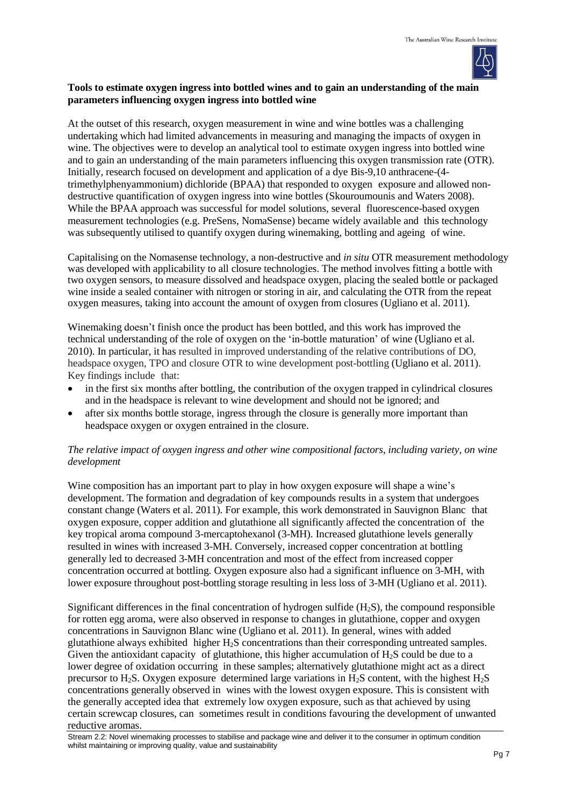

#### **Tools to estimate oxygen ingress into bottled wines and to gain an understanding of the main parameters influencing oxygen ingress into bottled wine**

At the outset of this research, oxygen measurement in wine and wine bottles was a challenging undertaking which had limited advancements in measuring and managing the impacts of oxygen in wine. The objectives were to develop an analytical tool to estimate oxygen ingress into bottled wine and to gain an understanding of the main parameters influencing this oxygen transmission rate (OTR). Initially, research focused on development and application of a dye Bis-9,10 anthracene-(4 trimethylphenyammonium) dichloride (BPAA) that responded to oxygen exposure and allowed nondestructive quantification of oxygen ingress into wine bottles (Skouroumounis and Waters 2008). While the BPAA approach was successful for model solutions, several fluorescence-based oxygen measurement technologies (e.g. PreSens, NomaSense) became widely available and this technology was subsequently utilised to quantify oxygen during winemaking, bottling and ageing of wine.

Capitalising on the Nomasense technology, a non-destructive and *in situ* OTR measurement methodology was developed with applicability to all closure technologies. The method involves fitting a bottle with two oxygen sensors, to measure dissolved and headspace oxygen, placing the sealed bottle or packaged wine inside a sealed container with nitrogen or storing in air, and calculating the OTR from the repeat oxygen measures, taking into account the amount of oxygen from closures (Ugliano et al. 2011).

Winemaking doesn't finish once the product has been bottled, and this work has improved the technical understanding of the role of oxygen on the 'in-bottle maturation' of wine (Ugliano et al. 2010). In particular, it has resulted in improved understanding of the relative contributions of DO, headspace oxygen, TPO and closure OTR to wine development post-bottling (Ugliano et al. 2011). Key findings include that:

- in the first six months after bottling, the contribution of the oxygen trapped in cylindrical closures and in the headspace is relevant to wine development and should not be ignored; and
- after six months bottle storage, ingress through the closure is generally more important than headspace oxygen or oxygen entrained in the closure.

# *The relative impact of oxygen ingress and other wine compositional factors, including variety, on wine development*

Wine composition has an important part to play in how oxygen exposure will shape a wine's development. The formation and degradation of key compounds results in a system that undergoes constant change (Waters et al. 2011). For example, this work demonstrated in Sauvignon Blanc that oxygen exposure, copper addition and glutathione all significantly affected the concentration of the key tropical aroma compound 3-mercaptohexanol (3-MH). Increased glutathione levels generally resulted in wines with increased 3-MH. Conversely, increased copper concentration at bottling generally led to decreased 3-MH concentration and most of the effect from increased copper concentration occurred at bottling. Oxygen exposure also had a significant influence on 3-MH, with lower exposure throughout post-bottling storage resulting in less loss of 3-MH (Ugliano et al. 2011).

Significant differences in the final concentration of hydrogen sulfide  $(H<sub>2</sub>S)$ , the compound responsible for rotten egg aroma, were also observed in response to changes in glutathione, copper and oxygen concentrations in Sauvignon Blanc wine (Ugliano et al. 2011). In general, wines with added glutathione always exhibited higher H2S concentrations than their corresponding untreated samples. Given the antioxidant capacity of glutathione, this higher accumulation of  $H_2S$  could be due to a lower degree of oxidation occurring in these samples; alternatively glutathione might act as a direct precursor to H<sub>2</sub>S. Oxygen exposure determined large variations in H<sub>2</sub>S content, with the highest H<sub>2</sub>S concentrations generally observed in wines with the lowest oxygen exposure. This is consistent with the generally accepted idea that extremely low oxygen exposure, such as that achieved by using certain screwcap closures, can sometimes result in conditions favouring the development of unwanted reductive aromas.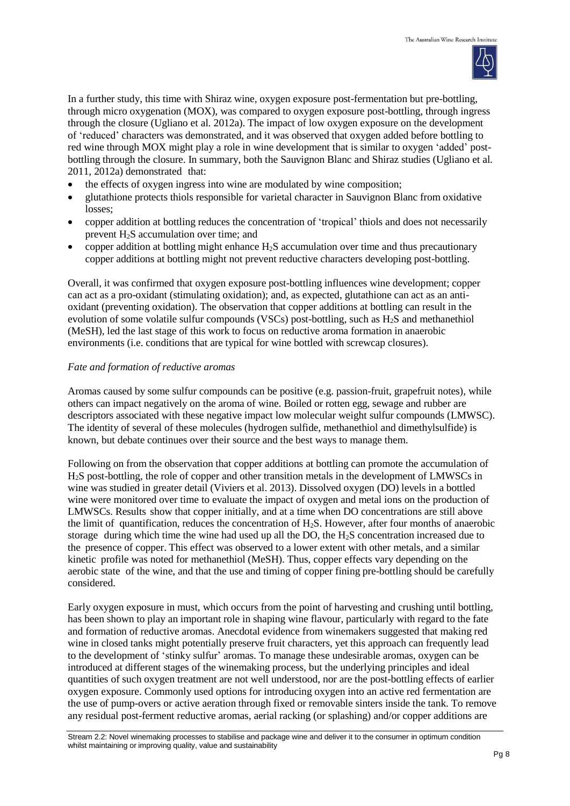

In a further study, this time with Shiraz wine, oxygen exposure post-fermentation but pre-bottling, through micro oxygenation (MOX), was compared to oxygen exposure post-bottling, through ingress through the closure (Ugliano et al*.* 2012a). The impact of low oxygen exposure on the development of 'reduced' characters was demonstrated, and it was observed that oxygen added before bottling to red wine through MOX might play a role in wine development that is similar to oxygen 'added' postbottling through the closure. In summary, both the Sauvignon Blanc and Shiraz studies (Ugliano et al*.*  2011, 2012a) demonstrated that:

- the effects of oxygen ingress into wine are modulated by wine composition;
- glutathione protects thiols responsible for varietal character in Sauvignon Blanc from oxidative losses;
- copper addition at bottling reduces the concentration of 'tropical' thiols and does not necessarily prevent H2S accumulation over time; and
- copper addition at bottling might enhance  $H_2S$  accumulation over time and thus precautionary copper additions at bottling might not prevent reductive characters developing post-bottling.

Overall, it was confirmed that oxygen exposure post-bottling influences wine development; copper can act as a pro-oxidant (stimulating oxidation); and, as expected, glutathione can act as an antioxidant (preventing oxidation). The observation that copper additions at bottling can result in the evolution of some volatile sulfur compounds (VSCs) post-bottling, such as H2S and methanethiol (MeSH), led the last stage of this work to focus on reductive aroma formation in anaerobic environments (i.e. conditions that are typical for wine bottled with screwcap closures).

# *Fate and formation of reductive aromas*

Aromas caused by some sulfur compounds can be positive (e.g. passion-fruit, grapefruit notes), while others can impact negatively on the aroma of wine. Boiled or rotten egg, sewage and rubber are descriptors associated with these negative impact low molecular weight sulfur compounds (LMWSC). The identity of several of these molecules (hydrogen sulfide, methanethiol and dimethylsulfide) is known, but debate continues over their source and the best ways to manage them.

Following on from the observation that copper additions at bottling can promote the accumulation of H2S post-bottling, the role of copper and other transition metals in the development of LMWSCs in wine was studied in greater detail (Viviers et al. 2013). Dissolved oxygen (DO) levels in a bottled wine were monitored over time to evaluate the impact of oxygen and metal ions on the production of LMWSCs. Results show that copper initially, and at a time when DO concentrations are still above the limit of quantification, reduces the concentration of  $H_2S$ . However, after four months of anaerobic storage during which time the wine had used up all the DO, the H2S concentration increased due to the presence of copper. This effect was observed to a lower extent with other metals, and a similar kinetic profile was noted for methanethiol (MeSH). Thus, copper effects vary depending on the aerobic state of the wine, and that the use and timing of copper fining pre-bottling should be carefully considered.

Early oxygen exposure in must, which occurs from the point of harvesting and crushing until bottling, has been shown to play an important role in shaping wine flavour, particularly with regard to the fate and formation of reductive aromas. Anecdotal evidence from winemakers suggested that making red wine in closed tanks might potentially preserve fruit characters, yet this approach can frequently lead to the development of 'stinky sulfur' aromas. To manage these undesirable aromas, oxygen can be introduced at different stages of the winemaking process, but the underlying principles and ideal quantities of such oxygen treatment are not well understood, nor are the post-bottling effects of earlier oxygen exposure. Commonly used options for introducing oxygen into an active red fermentation are the use of pump-overs or active aeration through fixed or removable sinters inside the tank. To remove any residual post-ferment reductive aromas, aerial racking (or splashing) and/or copper additions are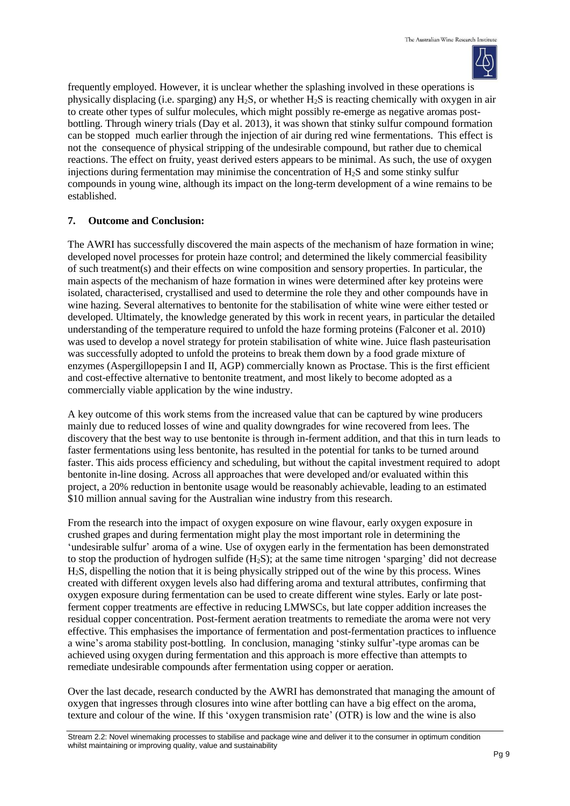

frequently employed. However, it is unclear whether the splashing involved in these operations is physically displacing (i.e. sparging) any  $H_2S$ , or whether  $H_2S$  is reacting chemically with oxygen in air to create other types of sulfur molecules, which might possibly re-emerge as negative aromas postbottling. Through winery trials (Day et al. 2013), it was shown that stinky sulfur compound formation can be stopped much earlier through the injection of air during red wine fermentations. This effect is not the consequence of physical stripping of the undesirable compound, but rather due to chemical reactions. The effect on fruity, yeast derived esters appears to be minimal. As such, the use of oxygen injections during fermentation may minimise the concentration of H2S and some stinky sulfur compounds in young wine, although its impact on the long-term development of a wine remains to be established.

# **7. Outcome and Conclusion:**

The AWRI has successfully discovered the main aspects of the mechanism of haze formation in wine; developed novel processes for protein haze control; and determined the likely commercial feasibility of such treatment(s) and their effects on wine composition and sensory properties. In particular, the main aspects of the mechanism of haze formation in wines were determined after key proteins were isolated, characterised, crystallised and used to determine the role they and other compounds have in wine hazing. Several alternatives to bentonite for the stabilisation of white wine were either tested or developed. Ultimately, the knowledge generated by this work in recent years, in particular the detailed understanding of the temperature required to unfold the haze forming proteins (Falconer et al. 2010) was used to develop a novel strategy for protein stabilisation of white wine. Juice flash pasteurisation was successfully adopted to unfold the proteins to break them down by a food grade mixture of enzymes (Aspergillopepsin I and II, AGP) commercially known as Proctase. This is the first efficient and cost-effective alternative to bentonite treatment, and most likely to become adopted as a commercially viable application by the wine industry.

A key outcome of this work stems from the increased value that can be captured by wine producers mainly due to reduced losses of wine and quality downgrades for wine recovered from lees. The discovery that the best way to use bentonite is through in-ferment addition, and that this in turn leads to faster fermentations using less bentonite, has resulted in the potential for tanks to be turned around faster. This aids process efficiency and scheduling, but without the capital investment required to adopt bentonite in-line dosing. Across all approaches that were developed and/or evaluated within this project, a 20% reduction in bentonite usage would be reasonably achievable, leading to an estimated \$10 million annual saving for the Australian wine industry from this research.

From the research into the impact of oxygen exposure on wine flavour, early oxygen exposure in crushed grapes and during fermentation might play the most important role in determining the 'undesirable sulfur' aroma of a wine. Use of oxygen early in the fermentation has been demonstrated to stop the production of hydrogen sulfide  $(H_2S)$ ; at the same time nitrogen 'sparging' did not decrease H2S, dispelling the notion that it is being physically stripped out of the wine by this process. Wines created with different oxygen levels also had differing aroma and textural attributes, confirming that oxygen exposure during fermentation can be used to create different wine styles. Early or late postferment copper treatments are effective in reducing LMWSCs, but late copper addition increases the residual copper concentration. Post-ferment aeration treatments to remediate the aroma were not very effective. This emphasises the importance of fermentation and post-fermentation practices to influence a wine's aroma stability post-bottling. In conclusion, managing 'stinky sulfur'-type aromas can be achieved using oxygen during fermentation and this approach is more effective than attempts to remediate undesirable compounds after fermentation using copper or aeration.

Over the last decade, research conducted by the AWRI has demonstrated that managing the amount of oxygen that ingresses through closures into wine after bottling can have a big effect on the aroma, texture and colour of the wine. If this 'oxygen transmision rate' (OTR) is low and the wine is also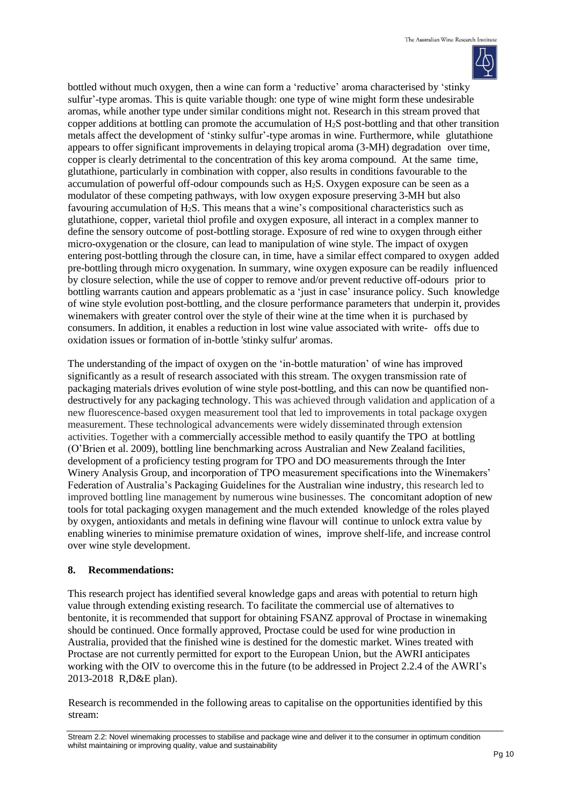

bottled without much oxygen, then a wine can form a 'reductive' aroma characterised by 'stinky sulfur'-type aromas. This is quite variable though: one type of wine might form these undesirable aromas, while another type under similar conditions might not. Research in this stream proved that copper additions at bottling can promote the accumulation of H2S post-bottling and that other transition metals affect the development of 'stinky sulfur'-type aromas in wine. Furthermore, while glutathione appears to offer significant improvements in delaying tropical aroma (3-MH) degradation over time, copper is clearly detrimental to the concentration of this key aroma compound. At the same time, glutathione, particularly in combination with copper, also results in conditions favourable to the accumulation of powerful off-odour compounds such as H2S. Oxygen exposure can be seen as a modulator of these competing pathways, with low oxygen exposure preserving 3-MH but also favouring accumulation of H<sub>2</sub>S. This means that a wine's compositional characteristics such as glutathione, copper, varietal thiol profile and oxygen exposure, all interact in a complex manner to define the sensory outcome of post-bottling storage. Exposure of red wine to oxygen through either micro-oxygenation or the closure, can lead to manipulation of wine style. The impact of oxygen entering post-bottling through the closure can, in time, have a similar effect compared to oxygen added pre-bottling through micro oxygenation. In summary, wine oxygen exposure can be readily influenced by closure selection, while the use of copper to remove and/or prevent reductive off-odours prior to bottling warrants caution and appears problematic as a 'just in case' insurance policy. Such knowledge of wine style evolution post-bottling, and the closure performance parameters that underpin it, provides winemakers with greater control over the style of their wine at the time when it is purchased by consumers. In addition, it enables a reduction in lost wine value associated with write- offs due to oxidation issues or formation of in-bottle 'stinky sulfur' aromas.

The understanding of the impact of oxygen on the 'in-bottle maturation' of wine has improved significantly as a result of research associated with this stream. The oxygen transmission rate of packaging materials drives evolution of wine style post-bottling, and this can now be quantified nondestructively for any packaging technology. This was achieved through validation and application of a new fluorescence-based oxygen measurement tool that led to improvements in total package oxygen measurement. These technological advancements were widely disseminated through extension activities. Together with a commercially accessible method to easily quantify the TPO at bottling (O'Brien et al. 2009), bottling line benchmarking across Australian and New Zealand facilities, development of a proficiency testing program for TPO and DO measurements through the Inter Winery Analysis Group, and incorporation of TPO measurement specifications into the Winemakers' Federation of Australia's Packaging Guidelines for the Australian wine industry, this research led to improved bottling line management by numerous wine businesses. The concomitant adoption of new tools for total packaging oxygen management and the much extended knowledge of the roles played by oxygen, antioxidants and metals in defining wine flavour will continue to unlock extra value by enabling wineries to minimise premature oxidation of wines, improve shelf-life, and increase control over wine style development.

# **8. Recommendations:**

This research project has identified several knowledge gaps and areas with potential to return high value through extending existing research. To facilitate the commercial use of alternatives to bentonite, it is recommended that support for obtaining FSANZ approval of Proctase in winemaking should be continued. Once formally approved, Proctase could be used for wine production in Australia, provided that the finished wine is destined for the domestic market. Wines treated with Proctase are not currently permitted for export to the European Union, but the AWRI anticipates working with the OIV to overcome this in the future (to be addressed in Project 2.2.4 of the AWRI's 2013-2018 R,D&E plan).

Research is recommended in the following areas to capitalise on the opportunities identified by this stream: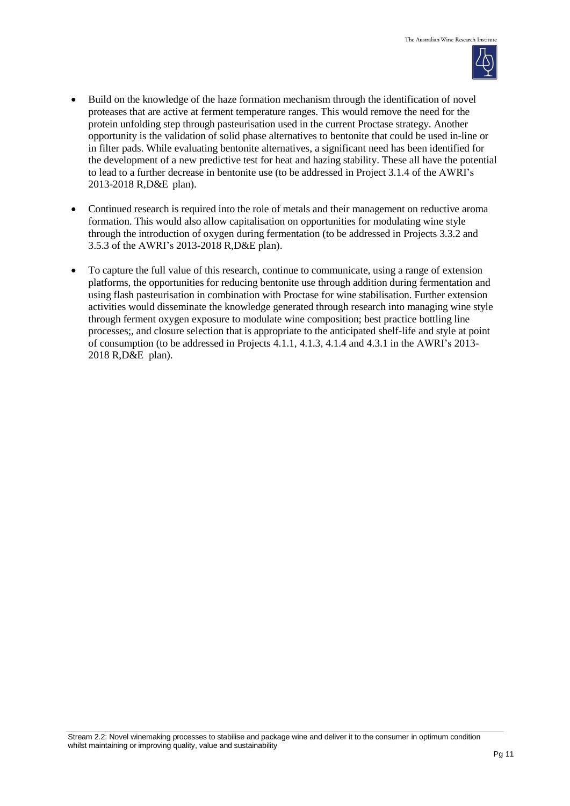

- Build on the knowledge of the haze formation mechanism through the identification of novel proteases that are active at ferment temperature ranges. This would remove the need for the protein unfolding step through pasteurisation used in the current Proctase strategy. Another opportunity is the validation of solid phase alternatives to bentonite that could be used in-line or in filter pads. While evaluating bentonite alternatives, a significant need has been identified for the development of a new predictive test for heat and hazing stability. These all have the potential to lead to a further decrease in bentonite use (to be addressed in Project 3.1.4 of the AWRI's 2013-2018 R,D&E plan).
- Continued research is required into the role of metals and their management on reductive aroma formation. This would also allow capitalisation on opportunities for modulating wine style through the introduction of oxygen during fermentation (to be addressed in Projects 3.3.2 and 3.5.3 of the AWRI's 2013-2018 R,D&E plan).
- To capture the full value of this research, continue to communicate, using a range of extension platforms, the opportunities for reducing bentonite use through addition during fermentation and using flash pasteurisation in combination with Proctase for wine stabilisation. Further extension activities would disseminate the knowledge generated through research into managing wine style through ferment oxygen exposure to modulate wine composition; best practice bottling line processes;, and closure selection that is appropriate to the anticipated shelf-life and style at point of consumption (to be addressed in Projects 4.1.1, 4.1.3, 4.1.4 and 4.3.1 in the AWRI's 2013- 2018 R,D&E plan).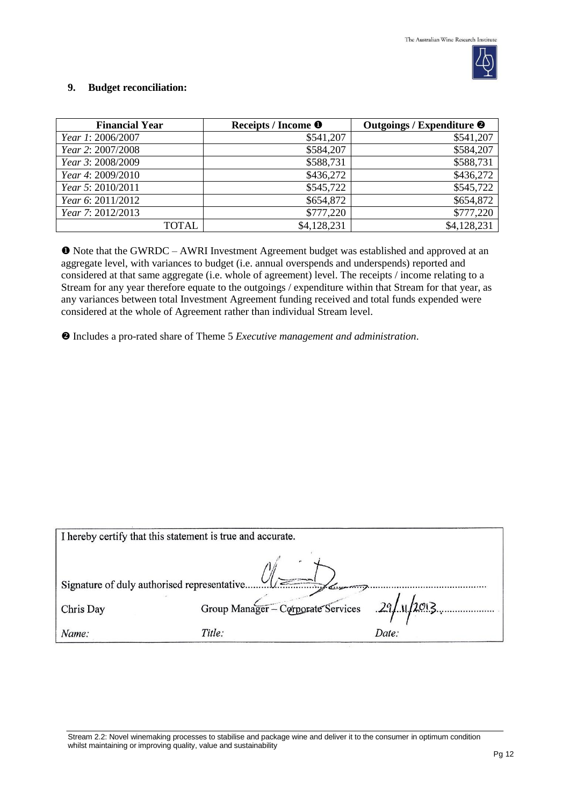

#### **9. Budget reconciliation:**

| <b>Financial Year</b> | Receipts / Income <sup>O</sup> | Outgoings / Expenditure <sup>@</sup> |
|-----------------------|--------------------------------|--------------------------------------|
| Year 1: 2006/2007     | \$541,207                      | \$541,207                            |
| Year 2: 2007/2008     | \$584,207                      | \$584,207                            |
| Year 3: 2008/2009     | \$588,731                      | \$588,731                            |
| Year 4: 2009/2010     | \$436,272                      | \$436,272                            |
| Year 5: 2010/2011     | \$545,722                      | \$545,722                            |
| Year 6: 2011/2012     | \$654,872                      | \$654,872                            |
| Year 7: 2012/2013     | \$777,220                      | \$777,220                            |
| TOTAL                 | \$4,128,231                    | \$4,128,231                          |

 Note that the GWRDC – AWRI Investment Agreement budget was established and approved at an aggregate level, with variances to budget (i.e. annual overspends and underspends) reported and considered at that same aggregate (i.e. whole of agreement) level. The receipts / income relating to a Stream for any year therefore equate to the outgoings / expenditure within that Stream for that year, as any variances between total Investment Agreement funding received and total funds expended were considered at the whole of Agreement rather than individual Stream level.

Includes a pro-rated share of Theme 5 *Executive management and administration*.

| I hereby certify that this statement is true and accurate. |                                                |       |
|------------------------------------------------------------|------------------------------------------------|-------|
|                                                            |                                                |       |
| Chris Day                                                  | Group Manager - Corporate Services 29/11/2013. |       |
| Name:                                                      | Title:                                         | Date: |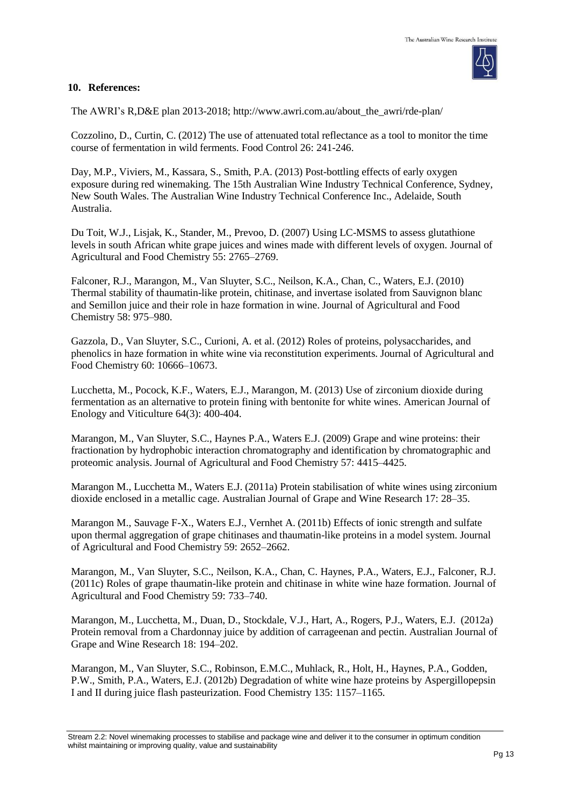

#### **10. References:**

The AWRI's R,D&E plan 2013-2018; [http://www.awri.com.au/about\\_the\\_awri/rde-plan/](http://www.awri.com.au/about_the_awri/rde-plan/)

Cozzolino, D., Curtin, C. (2012) The use of attenuated total reflectance as a tool to monitor the time course of fermentation in wild ferments. Food Control 26: 241-246.

Day, M.P., Viviers, M., Kassara, S., Smith, P.A. (2013) Post-bottling effects of early oxygen exposure during red winemaking. The 15th Australian Wine Industry Technical Conference, Sydney, New South Wales. The Australian Wine Industry Technical Conference Inc., Adelaide, South Australia.

Du Toit, W.J., Lisjak, K., Stander, M., Prevoo, D. (2007) Using LC-MSMS to assess glutathione levels in south African white grape juices and wines made with different levels of oxygen. Journal of Agricultural and Food Chemistry 55: 2765–2769.

Falconer, R.J., Marangon, M., Van Sluyter, S.C., Neilson, K.A., Chan, C., Waters, E.J. (2010) Thermal stability of thaumatin-like protein, chitinase, and invertase isolated from Sauvignon blanc and Semillon juice and their role in haze formation in wine. Journal of Agricultural and Food Chemistry 58: 975–980.

Gazzola, D., Van Sluyter, S.C., Curioni, A. et al. (2012) Roles of proteins, polysaccharides, and phenolics in haze formation in white wine via reconstitution experiments. Journal of Agricultural and Food Chemistry 60: 10666–10673.

Lucchetta, M., Pocock, K.F., Waters, E.J., Marangon, M. (2013) Use of zirconium dioxide during fermentation as an alternative to protein fining with bentonite for white wines. American Journal of Enology and Viticulture 64(3): 400-404.

Marangon, M., Van Sluyter, S.C., Haynes P.A., Waters E.J. (2009) Grape and wine proteins: their fractionation by hydrophobic interaction chromatography and identification by chromatographic and proteomic analysis. Journal of Agricultural and Food Chemistry 57: 4415–4425.

Marangon M., Lucchetta M., Waters E.J. (2011a) Protein stabilisation of white wines using zirconium dioxide enclosed in a metallic cage. Australian Journal of Grape and Wine Research 17: 28–35.

Marangon M., Sauvage F-X., Waters E.J., Vernhet A. (2011b) Effects of ionic strength and sulfate upon thermal aggregation of grape chitinases and thaumatin-like proteins in a model system. Journal of Agricultural and Food Chemistry 59: 2652–2662.

Marangon, M., Van Sluyter, S.C., Neilson, K.A., Chan, C. Haynes, P.A., Waters, E.J., Falconer, R.J. (2011c) Roles of grape thaumatin-like protein and chitinase in white wine haze formation. Journal of Agricultural and Food Chemistry 59: 733–740.

Marangon, M., Lucchetta, M., Duan, D., Stockdale, V.J., Hart, A., Rogers, P.J., Waters, E.J. (2012a) Protein removal from a Chardonnay juice by addition of carrageenan and pectin. Australian Journal of Grape and Wine Research 18: 194–202.

Marangon, M., Van Sluyter, S.C., Robinson, E.M.C., Muhlack, R., Holt, H., Haynes, P.A., Godden, P.W., Smith, P.A., Waters, E.J. (2012b) Degradation of white wine haze proteins by Aspergillopepsin I and II during juice flash pasteurization. Food Chemistry 135: 1157–1165.

Stream 2.2: Novel winemaking processes to stabilise and package wine and deliver it to the consumer in optimum condition whilst maintaining or improving quality, value and sustainability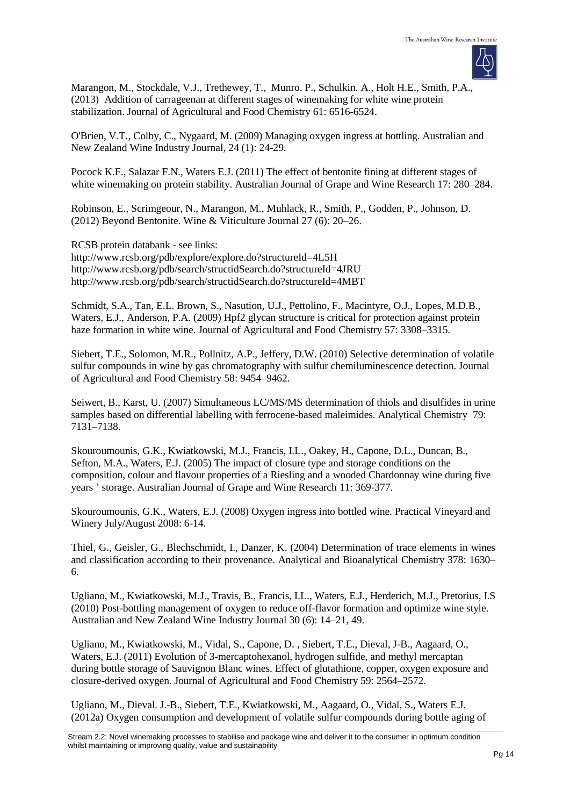Marangon, M., Stockdale, V.J., Trethewey, T., Munro. P., Schulkin. A., Holt H.E., Smith, P.A., (2013) Addition of carrageenan at different stages of winemaking for white wine protein stabilization. Journal of Agricultural and Food Chemistry 61: 6516-6524.

O'Brien, V.T., Colby, C., Nygaard, M. (2009) Managing oxygen ingress at bottling. Australian and New Zealand Wine Industry Journal, 24 (1): 24-29.

Pocock K.F., Salazar F.N., Waters E.J. (2011) The effect of bentonite fining at different stages of white winemaking on protein stability. Australian Journal of Grape and Wine Research 17: 280–284.

Robinson, E., Scrimgeour, N., Marangon, M., Muhlack, R., Smith, P., Godden, P., Johnson, D. (2012) Beyond Bentonite. Wine & Viticulture Journal 27 (6): 20–26.

RCSB protein databank - see links: <http://www.rcsb.org/pdb/explore/explore.do?structureId=4L5H> <http://www.rcsb.org/pdb/search/structidSearch.do?structureId=4JRU> <http://www.rcsb.org/pdb/search/structidSearch.do?structureId=4MBT>

Schmidt, S.A., Tan, E.L. Brown, S., Nasution, U.J., Pettolino, F., Macintyre, O.J., Lopes, M.D.B., Waters, E.J., Anderson, P.A. (2009) Hpf2 glycan structure is critical for protection against protein haze formation in white wine. Journal of Agricultural and Food Chemistry 57: 3308–3315.

Siebert, T.E., Solomon, M.R., Pollnitz, A.P., Jeffery, D.W. (2010) Selective determination of volatile sulfur compounds in wine by gas chromatography with sulfur chemiluminescence detection. Journal of Agricultural and Food Chemistry 58: 9454–9462.

Seiwert, B., Karst, U. (2007) Simultaneous LC/MS/MS determination of thiols and disulfides in urine samples based on differential labelling with ferrocene-based maleimides. Analytical Chemistry 79: 7131–7138.

Skouroumounis, G.K., Kwiatkowski, M.J., Francis, I.L., Oakey, H., Capone, D.L., Duncan, B., Sefton, M.A., Waters, E.J. (2005) The impact of closure type and storage conditions on the composition, colour and flavour properties of a Riesling and a wooded Chardonnay wine during five years ' storage. Australian Journal of Grape and Wine Research 11: 369-377.

Skouroumounis, G.K., Waters, E.J. (2008) Oxygen ingress into bottled wine. Practical Vineyard and Winery July/August 2008: 6-14.

Thiel, G., Geisler, G., Blechschmidt, I., Danzer, K. (2004) Determination of trace elements in wines and classification according to their provenance. Analytical and Bioanalytical Chemistry 378: 1630– 6.

Ugliano, M., Kwiatkowski, M.J., Travis, B., Francis, I.L., Waters, E.J., Herderich, M.J., Pretorius, I.S (2010) Post-bottling management of oxygen to reduce off-flavor formation and optimize wine style. Australian and New Zealand Wine Industry Journal 30 (6): 14–21, 49.

Ugliano, M., Kwiatkowski, M., Vidal, S., Capone, D. , Siebert, T.E., Dieval, J-B., Aagaard, O., Waters, E.J. (2011) Evolution of 3-mercaptohexanol, hydrogen sulfide, and methyl mercaptan during bottle storage of Sauvignon Blanc wines. Effect of glutathione, copper, oxygen exposure and closure-derived oxygen. Journal of Agricultural and Food Chemistry 59: 2564–2572.

Ugliano, M., Dieval. J.-B., Siebert, T.E., Kwiatkowski, M., Aagaard, O., Vidal, S., Waters E.J. (2012a) Oxygen consumption and development of volatile sulfur compounds during bottle aging of

Stream 2.2: Novel winemaking processes to stabilise and package wine and deliver it to the consumer in optimum condition whilst maintaining or improving quality, value and sustainability